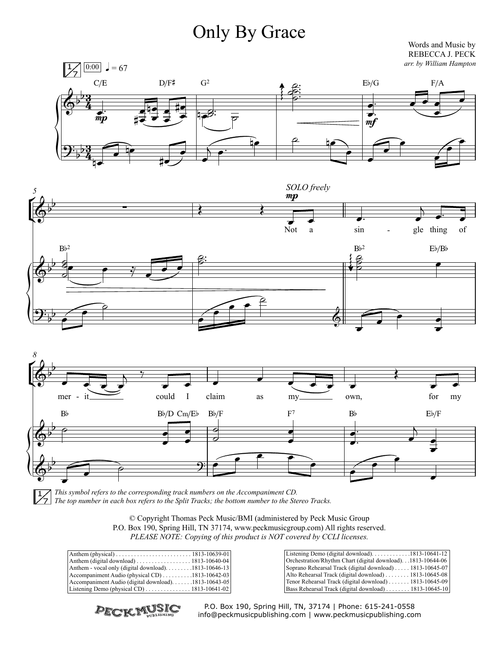## Only By Grace Words and Music by

*arr. by William Hampton* REBECCA J. PECK







*This symbol refers to the corresponding track numbers on the Accompaniment CD. The top number in each box refers to the Split Tracks; the bottom number to the Stereo Tracks.*

| © Copyright Thomas Peck Music/BMI (administered by Peck Music Group               |
|-----------------------------------------------------------------------------------|
| P.O. Box 190, Spring Hill, TN 37174, www.peckmusicgroup.com) All rights reserved. |
| PLEASE NOTE: Copying of this product is NOT covered by CCLI licenses.             |

| Anthem - vocal only (digital download). $\ldots \ldots \ldots$ 1813-10646-13      |  |
|-----------------------------------------------------------------------------------|--|
| $ $ Accompaniment Audio (physical CD) $\ldots \ldots \ldots \ldots$ 1813-10642-03 |  |
| Accompaniment Audio (digital download)1813-10643-05                               |  |
| Listening Demo (physical CD) $\ldots \ldots \ldots \ldots \ldots$ 1813-10641-02   |  |
|                                                                                   |  |

| Listening Demo (digital download)1813-10641-12                               |
|------------------------------------------------------------------------------|
| Orchestration/Rhythm Chart (digital download).1813-10644-06                  |
| Soprano Rehearsal Track (digital download)  1813-10645-07                    |
| Alto Rehearsal Track (digital download) $\ldots \ldots \ldots$ 1813-10645-08 |
| Tenor Rehearsal Track (digital download)  1813-10645-09                      |
| Bass Rehearsal Track (digital download) $\ldots \ldots \ldots 1813-10645-10$ |



P.O. Box 190, Spring Hill, TN, 37174 | Phone: 615-241-0558 info@peckmusicpublishing.com | www.peckmusicpublishing.com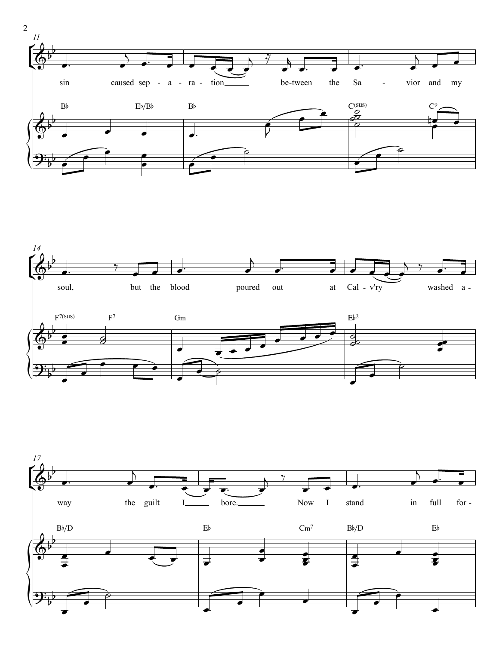



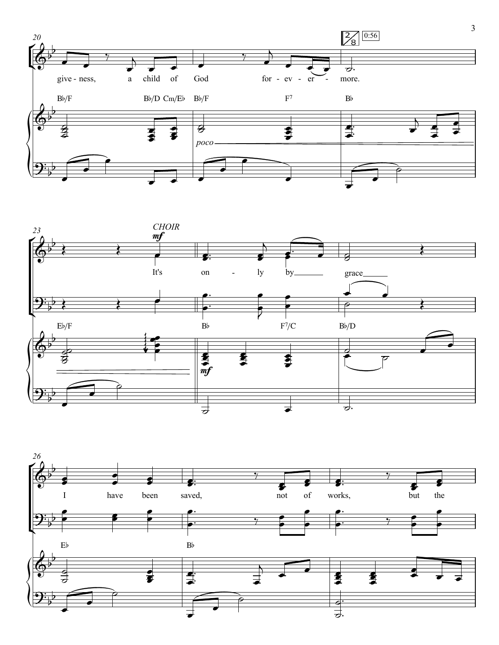



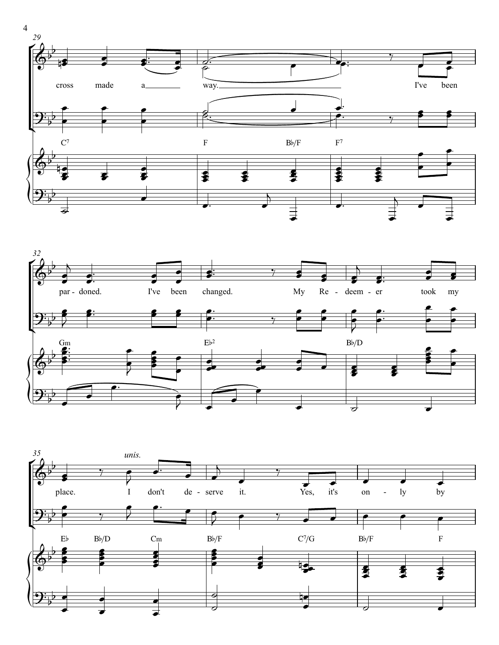





4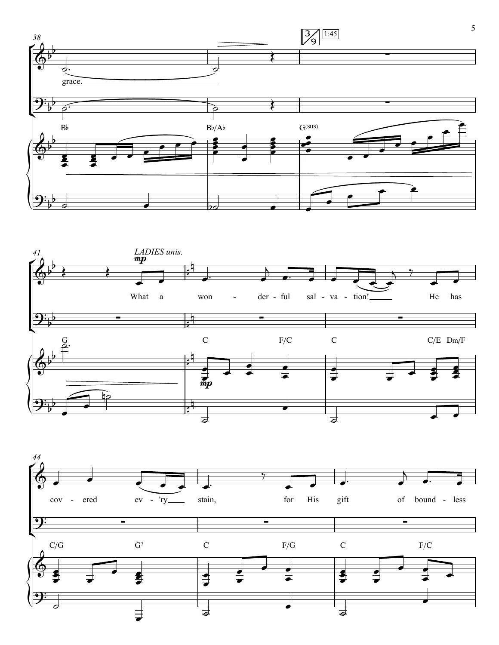



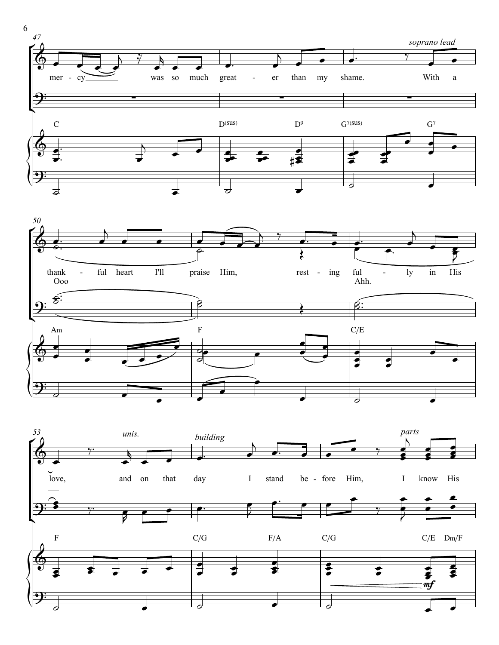



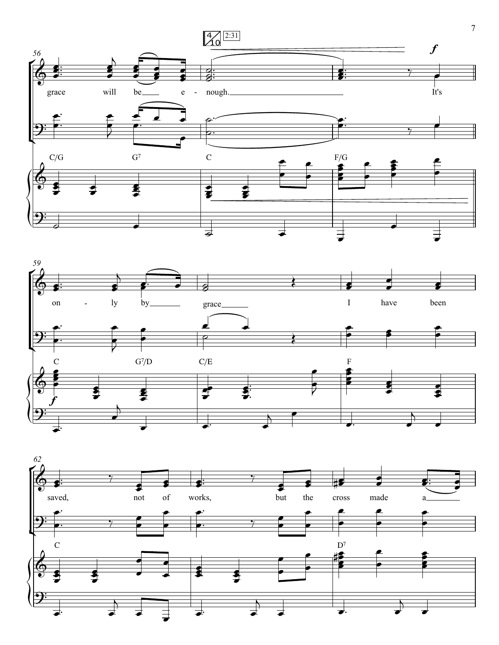



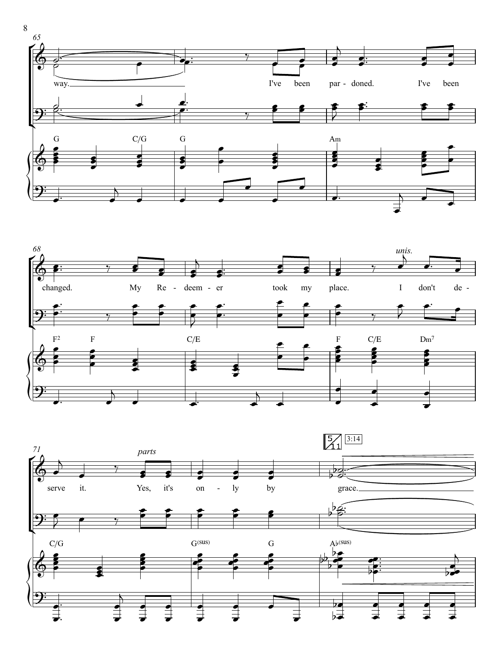



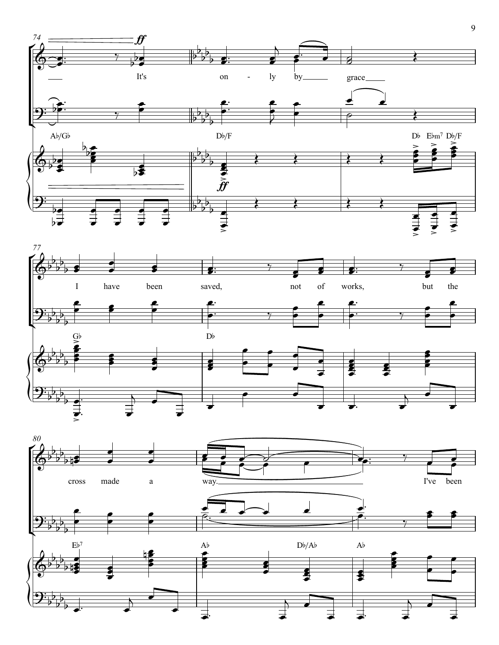



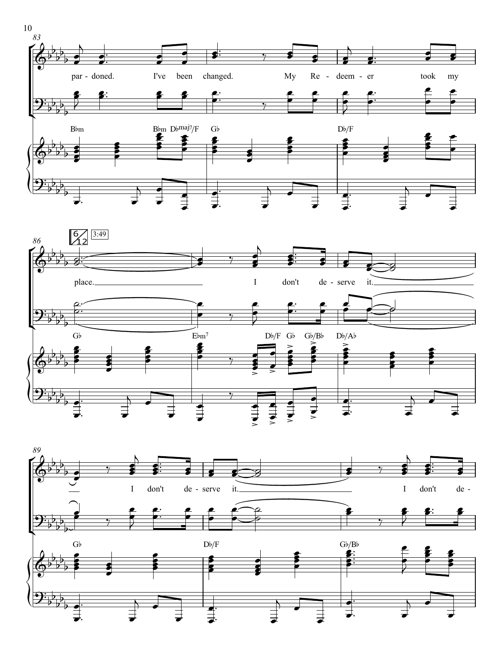





10